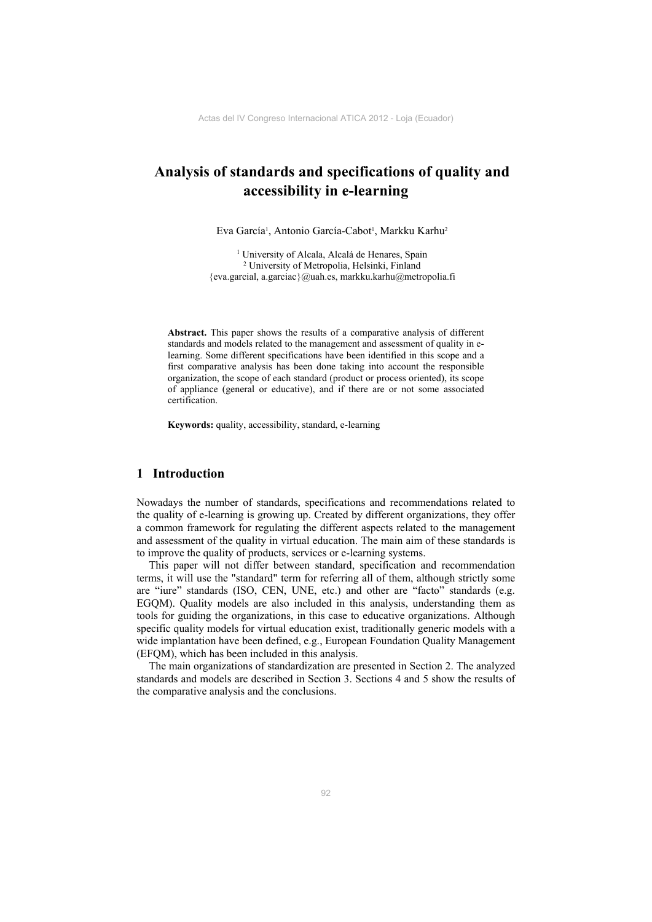# **Analysis of standards and specifications of quality and accessibility in e-learning**

Eva García<sup>1</sup>, Antonio García-Cabot<sup>1</sup>, Markku Karhu<sup>2</sup>

<sup>1</sup> University of Alcala, Alcalá de Henares, Spain 2 University of Metropolia, Helsinki, Finland {eva.garcial, a.garciac}@uah.es, markku.karhu@metropolia.fi

**Abstract.** This paper shows the results of a comparative analysis of different standards and models related to the management and assessment of quality in elearning. Some different specifications have been identified in this scope and a first comparative analysis has been done taking into account the responsible organization, the scope of each standard (product or process oriented), its scope of appliance (general or educative), and if there are or not some associated certification.

**Keywords:** quality, accessibility, standard, e-learning

#### **1 Introduction**

Nowadays the number of standards, specifications and recommendations related to the quality of e-learning is growing up. Created by different organizations, they offer a common framework for regulating the different aspects related to the management and assessment of the quality in virtual education. The main aim of these standards is to improve the quality of products, services or e-learning systems.

This paper will not differ between standard, specification and recommendation terms, it will use the "standard" term for referring all of them, although strictly some are "iure" standards (ISO, CEN, UNE, etc.) and other are "facto" standards (e.g. EGQM). Quality models are also included in this analysis, understanding them as tools for guiding the organizations, in this case to educative organizations. Although specific quality models for virtual education exist, traditionally generic models with a wide implantation have been defined, e.g., European Foundation Quality Management (EFQM), which has been included in this analysis.

The main organizations of standardization are presented in Section 2. The analyzed standards and models are described in Section 3. Sections 4 and 5 show the results of the comparative analysis and the conclusions.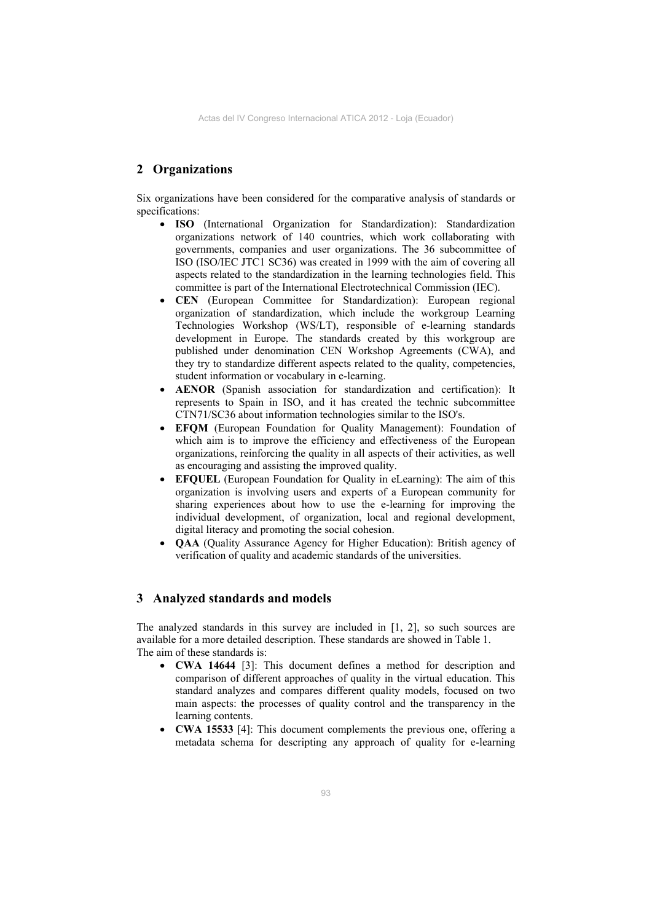## **2 Organizations**

Six organizations have been considered for the comparative analysis of standards or specifications:

- **ISO** (International Organization for Standardization): Standardization organizations network of 140 countries, which work collaborating with governments, companies and user organizations. The 36 subcommittee of ISO (ISO/IEC JTC1 SC36) was created in 1999 with the aim of covering all aspects related to the standardization in the learning technologies field. This committee is part of the International Electrotechnical Commission (IEC).
- **CEN** (European Committee for Standardization): European regional organization of standardization, which include the workgroup Learning Technologies Workshop (WS/LT), responsible of e-learning standards development in Europe. The standards created by this workgroup are published under denomination CEN Workshop Agreements (CWA), and they try to standardize different aspects related to the quality, competencies, student information or vocabulary in e-learning.
- **AENOR** (Spanish association for standardization and certification): It represents to Spain in ISO, and it has created the technic subcommittee CTN71/SC36 about information technologies similar to the ISO's.
- **EFQM** (European Foundation for Quality Management): Foundation of which aim is to improve the efficiency and effectiveness of the European organizations, reinforcing the quality in all aspects of their activities, as well as encouraging and assisting the improved quality.
- **EFQUEL** (European Foundation for Quality in eLearning): The aim of this organization is involving users and experts of a European community for sharing experiences about how to use the e-learning for improving the individual development, of organization, local and regional development, digital literacy and promoting the social cohesion.
- **QAA** (Quality Assurance Agency for Higher Education): British agency of verification of quality and academic standards of the universities.

#### **3 Analyzed standards and models**

The analyzed standards in this survey are included in [1, 2], so such sources are available for a more detailed description. These standards are showed in Table 1. The aim of these standards is:

- **CWA 14644** [3]: This document defines a method for description and comparison of different approaches of quality in the virtual education. This standard analyzes and compares different quality models, focused on two main aspects: the processes of quality control and the transparency in the learning contents.
- **CWA 15533** [4]: This document complements the previous one, offering a metadata schema for descripting any approach of quality for e-learning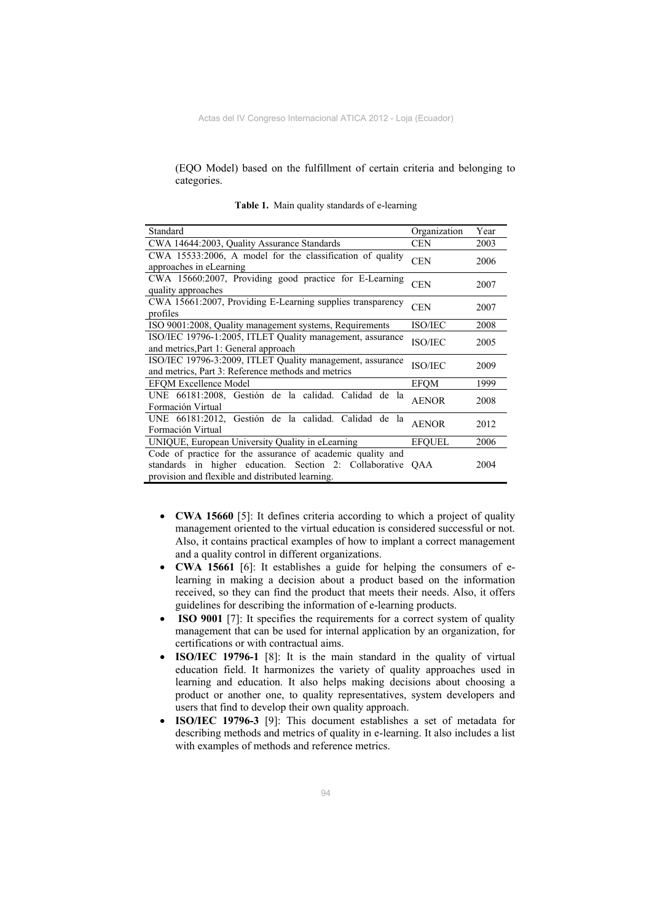(EQO Model) based on the fulfillment of certain criteria and belonging to categories.

| Standard                                                                                                                                                                  | Organization   | Year |
|---------------------------------------------------------------------------------------------------------------------------------------------------------------------------|----------------|------|
| CWA 14644:2003, Quality Assurance Standards                                                                                                                               | <b>CEN</b>     | 2003 |
| CWA 15533:2006, A model for the classification of quality<br>approaches in eLearning                                                                                      | <b>CEN</b>     | 2006 |
| CWA 15660:2007, Providing good practice for E-Learning<br>quality approaches                                                                                              | <b>CEN</b>     | 2007 |
| CWA 15661:2007, Providing E-Learning supplies transparency<br>profiles                                                                                                    | <b>CEN</b>     | 2007 |
| ISO 9001:2008, Quality management systems, Requirements                                                                                                                   | <b>ISO/IEC</b> | 2008 |
| ISO/IEC 19796-1:2005, ITLET Quality management, assurance<br>and metrics, Part 1: General approach                                                                        | <b>ISO/IEC</b> | 2005 |
| ISO/IEC 19796-3:2009, ITLET Quality management, assurance<br>and metrics, Part 3: Reference methods and metrics                                                           | <b>ISO/IEC</b> | 2009 |
| <b>EFOM Excellence Model</b>                                                                                                                                              | <b>EFOM</b>    | 1999 |
| UNE 66181:2008, Gestión de la calidad. Calidad de la<br>Formación Virtual                                                                                                 | <b>AENOR</b>   | 2008 |
| UNE 66181:2012, Gestión de la calidad. Calidad de la<br>Formación Virtual                                                                                                 | <b>AENOR</b>   | 2012 |
| UNIQUE, European University Quality in eLearning                                                                                                                          | <b>EFOUEL</b>  | 2006 |
| Code of practice for the assurance of academic quality and<br>standards in higher education. Section 2: Collaborative<br>provision and flexible and distributed learning. | <b>OAA</b>     | 2004 |

**Table 1.** Main quality standards of e-learning

- **CWA 15660** [5]: It defines criteria according to which a project of quality management oriented to the virtual education is considered successful or not. Also, it contains practical examples of how to implant a correct management and a quality control in different organizations.
- **CWA 15661** [6]: It establishes a guide for helping the consumers of elearning in making a decision about a product based on the information received, so they can find the product that meets their needs. Also, it offers guidelines for describing the information of e-learning products.
- **ISO 9001** [7]: It specifies the requirements for a correct system of quality management that can be used for internal application by an organization, for certifications or with contractual aims.
- **ISO/IEC 19796-1** [8]: It is the main standard in the quality of virtual education field. It harmonizes the variety of quality approaches used in learning and education. It also helps making decisions about choosing a product or another one, to quality representatives, system developers and users that find to develop their own quality approach.
- **ISO/IEC 19796-3** [9]: This document establishes a set of metadata for describing methods and metrics of quality in e-learning. It also includes a list with examples of methods and reference metrics.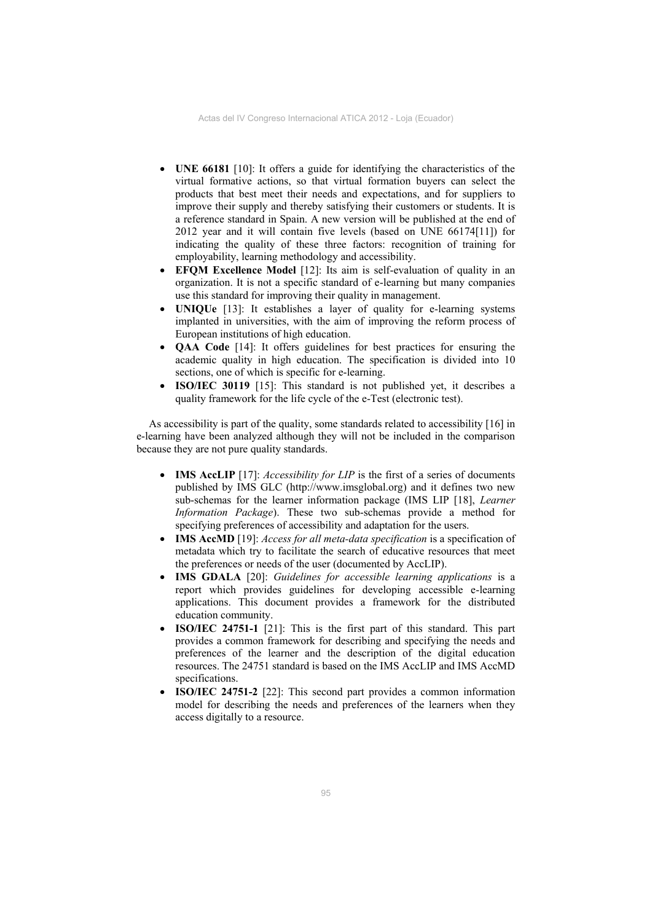- **UNE 66181** [10]: It offers a guide for identifying the characteristics of the virtual formative actions, so that virtual formation buyers can select the products that best meet their needs and expectations, and for suppliers to improve their supply and thereby satisfying their customers or students. It is a reference standard in Spain. A new version will be published at the end of 2012 year and it will contain five levels (based on UNE 66174[11]) for indicating the quality of these three factors: recognition of training for employability, learning methodology and accessibility.
- **EFQM Excellence Model** [12]: Its aim is self-evaluation of quality in an organization. It is not a specific standard of e-learning but many companies use this standard for improving their quality in management.
- **UNIQUe** [13]: It establishes a layer of quality for e-learning systems implanted in universities, with the aim of improving the reform process of European institutions of high education.
- **QAA Code** [14]: It offers guidelines for best practices for ensuring the academic quality in high education. The specification is divided into 10 sections, one of which is specific for e-learning.
- **ISO/IEC 30119** [15]: This standard is not published yet, it describes a quality framework for the life cycle of the e-Test (electronic test).

As accessibility is part of the quality, some standards related to accessibility [16] in e-learning have been analyzed although they will not be included in the comparison because they are not pure quality standards.

- **IMS AccLIP** [17]: *Accessibility for LIP* is the first of a series of documents published by IMS GLC (http://www.imsglobal.org) and it defines two new sub-schemas for the learner information package (IMS LIP [18], *Learner Information Package*). These two sub-schemas provide a method for specifying preferences of accessibility and adaptation for the users.
- **IMS AccMD** [19]: *Access for all meta-data specification* is a specification of metadata which try to facilitate the search of educative resources that meet the preferences or needs of the user (documented by AccLIP).
- **IMS GDALA** [20]: *Guidelines for accessible learning applications* is a report which provides guidelines for developing accessible e-learning applications. This document provides a framework for the distributed education community.
- **ISO/IEC 24751-1** [21]: This is the first part of this standard. This part provides a common framework for describing and specifying the needs and preferences of the learner and the description of the digital education resources. The 24751 standard is based on the IMS AccLIP and IMS AccMD specifications.
- **ISO/IEC 24751-2** [22]: This second part provides a common information model for describing the needs and preferences of the learners when they access digitally to a resource.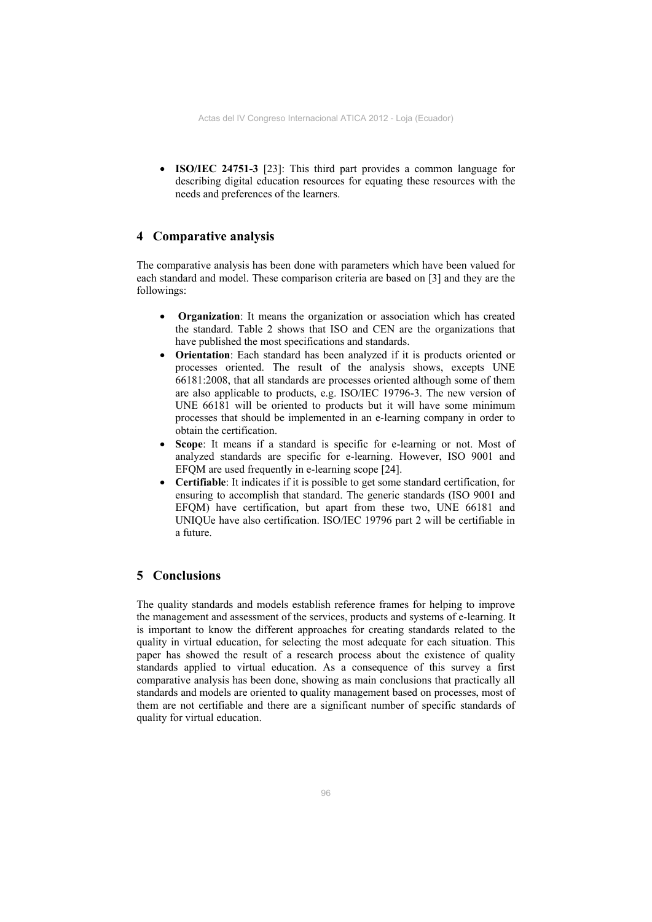**ISO/IEC 24751-3** [23]: This third part provides a common language for describing digital education resources for equating these resources with the needs and preferences of the learners.

## **4 Comparative analysis**

The comparative analysis has been done with parameters which have been valued for each standard and model. These comparison criteria are based on [3] and they are the followings:

- **Organization**: It means the organization or association which has created the standard. Table 2 shows that ISO and CEN are the organizations that have published the most specifications and standards.
- **Orientation**: Each standard has been analyzed if it is products oriented or processes oriented. The result of the analysis shows, excepts UNE 66181:2008, that all standards are processes oriented although some of them are also applicable to products, e.g. ISO/IEC 19796-3. The new version of UNE 66181 will be oriented to products but it will have some minimum processes that should be implemented in an e-learning company in order to obtain the certification.
- **Scope**: It means if a standard is specific for e-learning or not. Most of analyzed standards are specific for e-learning. However, ISO 9001 and EFQM are used frequently in e-learning scope [24].
- **Certifiable**: It indicates if it is possible to get some standard certification, for ensuring to accomplish that standard. The generic standards (ISO 9001 and EFQM) have certification, but apart from these two, UNE 66181 and UNIQUe have also certification. ISO/IEC 19796 part 2 will be certifiable in a future.

#### **5 Conclusions**

The quality standards and models establish reference frames for helping to improve the management and assessment of the services, products and systems of e-learning. It is important to know the different approaches for creating standards related to the quality in virtual education, for selecting the most adequate for each situation. This paper has showed the result of a research process about the existence of quality standards applied to virtual education. As a consequence of this survey a first comparative analysis has been done, showing as main conclusions that practically all standards and models are oriented to quality management based on processes, most of them are not certifiable and there are a significant number of specific standards of quality for virtual education.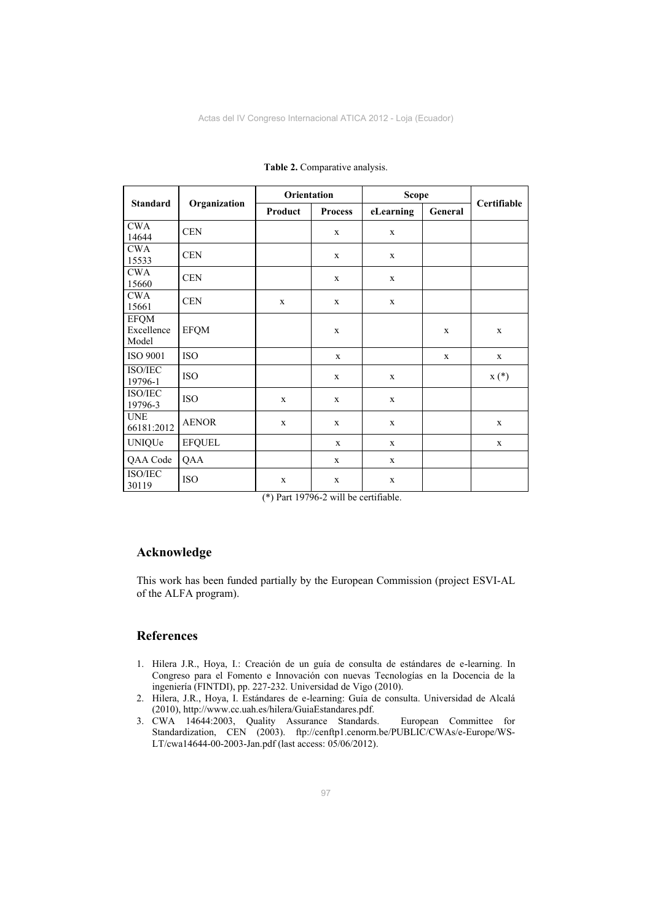| <b>Standard</b>                    | Organization  | Orientation |                | <b>Scope</b> |             |             |
|------------------------------------|---------------|-------------|----------------|--------------|-------------|-------------|
|                                    |               | Product     | <b>Process</b> | eLearning    | General     | Certifiable |
| <b>CWA</b><br>14644                | <b>CEN</b>    |             | $\mathbf X$    | $\mathbf X$  |             |             |
| <b>CWA</b><br>15533                | <b>CEN</b>    |             | $\mathbf{X}$   | $\mathbf X$  |             |             |
| <b>CWA</b><br>15660                | <b>CEN</b>    |             | $\mathbf X$    | $\mathbf X$  |             |             |
| <b>CWA</b><br>15661                | <b>CEN</b>    | $\mathbf x$ | $\mathbf{X}$   | $\mathbf X$  |             |             |
| <b>EFQM</b><br>Excellence<br>Model | <b>EFQM</b>   |             | $\mathbf{X}$   |              | $\mathbf x$ | $\mathbf x$ |
| ISO 9001                           | <b>ISO</b>    |             | $\mathbf x$    |              | X           | $\mathbf X$ |
| ISO/IEC<br>19796-1                 | <b>ISO</b>    |             | $\mathbf X$    | $\mathbf X$  |             | $X(*)$      |
| ISO/IEC<br>19796-3                 | <b>ISO</b>    | $\mathbf x$ | $\mathbf{X}$   | $\mathbf X$  |             |             |
| <b>UNE</b><br>66181:2012           | <b>AENOR</b>  | $\mathbf X$ | $\mathbf{X}$   | $\mathbf X$  |             | $\mathbf X$ |
| <b>UNIQUe</b>                      | <b>EFQUEL</b> |             | $\mathbf X$    | $\mathbf X$  |             | $\mathbf X$ |
| QAA Code                           | QAA           |             | $\mathbf{X}$   | $\mathbf X$  |             |             |
| ISO/IEC<br>30119                   | <b>ISO</b>    | $\mathbf X$ | $\mathbf X$    | $\mathbf X$  |             |             |

**Table 2.** Comparative analysis.

(\*) Part 19796-2 will be certifiable.

#### **Acknowledge**

This work has been funded partially by the European Commission (project ESVI-AL of the ALFA program).

#### **References**

- 1. Hilera J.R., Hoya, I.: Creación de un guía de consulta de estándares de e-learning. In Congreso para el Fomento e Innovación con nuevas Tecnologías en la Docencia de la ingeniería (FINTDI), pp. 227-232. Universidad de Vigo (2010).
- 2. Hilera, J.R., Hoya, I. Estándares de e-learning: Guía de consulta. Universidad de Alcalá (2010), http://www.cc.uah.es/hilera/GuiaEstandares.pdf.
- 3. CWA 14644:2003, Quality Assurance Standards. European Committee for Standardization, CEN (2003). [ftp://cenftp1.cenorm.be/PUBLIC/CWAs/e-Europe/WS-](ftp://cenftp1.cenorm.be/PUBLIC/CWAs/e-Europe/WS-LT/cwa14644-00-2003-Jan.pdf)[LT/cwa14644-00-2003-Jan.pdf](ftp://cenftp1.cenorm.be/PUBLIC/CWAs/e-Europe/WS-LT/cwa14644-00-2003-Jan.pdf) (last access: 05/06/2012).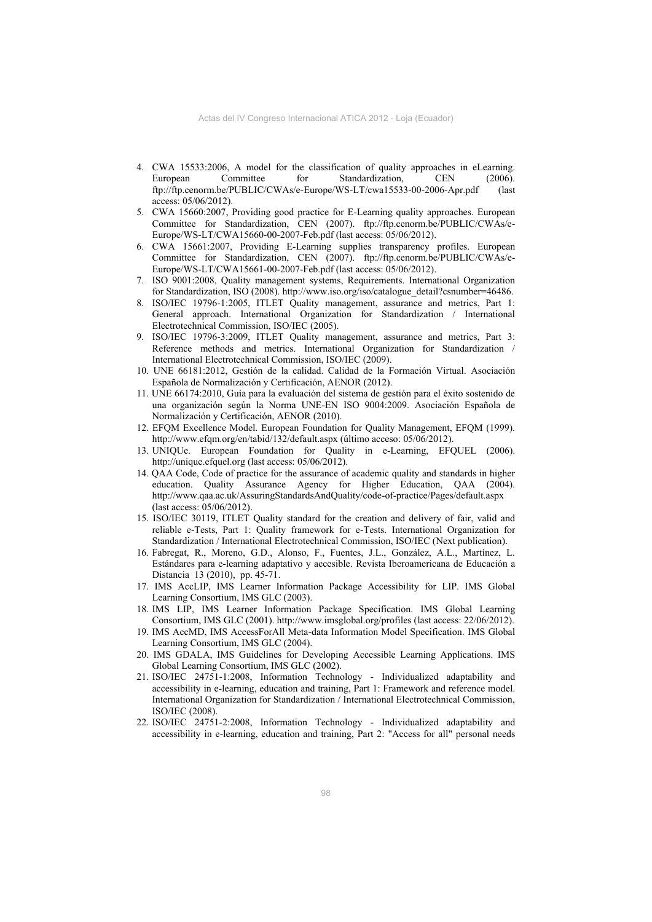- 4. CWA 15533:2006, A model for the classification of quality approaches in eLearning. European Committee for Standardization, CEN (2006). ftp://ftp.cenorm.be/PUBLIC/CWAs/e-Europe/WS-LT/cwa15533-00-2006-Apr.pdf (last access: 05/06/2012).
- 5. CWA 15660:2007, Providing good practice for E-Learning quality approaches. European Committee for Standardization, CEN (2007). ftp://ftp.cenorm.be/PUBLIC/CWAs/e-Europe/WS-LT/CWA15660-00-2007-Feb.pdf (last access: 05/06/2012).
- 6. CWA 15661:2007, Providing E-Learning supplies transparency profiles. European Committee for Standardization, CEN (2007). ftp://ftp.cenorm.be/PUBLIC/CWAs/e-Europe/WS-LT/CWA15661-00-2007-Feb.pdf (last access: 05/06/2012).
- 7. ISO 9001:2008, Quality management systems, Requirements. International Organization for Standardization, ISO (2008). http://www.iso.org/iso/catalogue\_detail?csnumber=46486.
- 8. ISO/IEC 19796-1:2005, ITLET Quality management, assurance and metrics, Part 1: General approach. International Organization for Standardization / International Electrotechnical Commission, ISO/IEC (2005).
- 9. ISO/IEC 19796-3:2009, ITLET Quality management, assurance and metrics, Part 3: Reference methods and metrics. International Organization for Standardization / International Electrotechnical Commission, ISO/IEC (2009).
- 10. UNE 66181:2012, Gestión de la calidad. Calidad de la Formación Virtual. Asociación Española de Normalización y Certificación, AENOR (2012).
- 11. UNE 66174:2010, Guía para la evaluación del sistema de gestión para el éxito sostenido de una organización según la Norma UNE-EN ISO 9004:2009. Asociación Española de Normalización y Certificación, AENOR (2010).
- 12. EFQM Excellence Model. European Foundation for Quality Management, EFQM (1999). http://www.efqm.org/en/tabid/132/default.aspx (último acceso: 05/06/2012).
- 13. UNIQUe. European Foundation for Quality in e-Learning, EFQUEL (2006). http://unique.efquel.org (last access: 05/06/2012).
- 14. QAA Code, Code of practice for the assurance of academic quality and standards in higher education. Quality Assurance Agency for Higher Education, QAA (2004). http://www.qaa.ac.uk/AssuringStandardsAndQuality/code-of-practice/Pages/default.aspx (last access: 05/06/2012).
- 15. ISO/IEC 30119, ITLET Quality standard for the creation and delivery of fair, valid and reliable e-Tests, Part 1: Quality framework for e-Tests. International Organization for Standardization / International Electrotechnical Commission, ISO/IEC (Next publication).
- 16. Fabregat, R., Moreno, G.D., Alonso, F., Fuentes, J.L., González, A.L., Martínez, L. Estándares para e-learning adaptativo y accesible. Revista Iberoamericana de Educación a Distancia 13 (2010), pp. 45-71.
- 17. IMS AccLIP, IMS Learner Information Package Accessibility for LIP. IMS Global Learning Consortium, IMS GLC (2003).
- 18. IMS LIP, IMS Learner Information Package Specification. IMS Global Learning Consortium, IMS GLC (2001). http://www.imsglobal.org/profiles (last access: 22/06/2012).
- 19. IMS AccMD, IMS AccessForAll Meta-data Information Model Specification. IMS Global Learning Consortium, IMS GLC (2004).
- 20. IMS GDALA, IMS Guidelines for Developing Accessible Learning Applications. IMS Global Learning Consortium, IMS GLC (2002).
- 21. ISO/IEC 24751-1:2008, Information Technology Individualized adaptability and accessibility in e-learning, education and training, Part 1: Framework and reference model. International Organization for Standardization / International Electrotechnical Commission, ISO/IEC (2008).
- 22. ISO/IEC 24751-2:2008, Information Technology Individualized adaptability and accessibility in e-learning, education and training, Part 2: "Access for all" personal needs